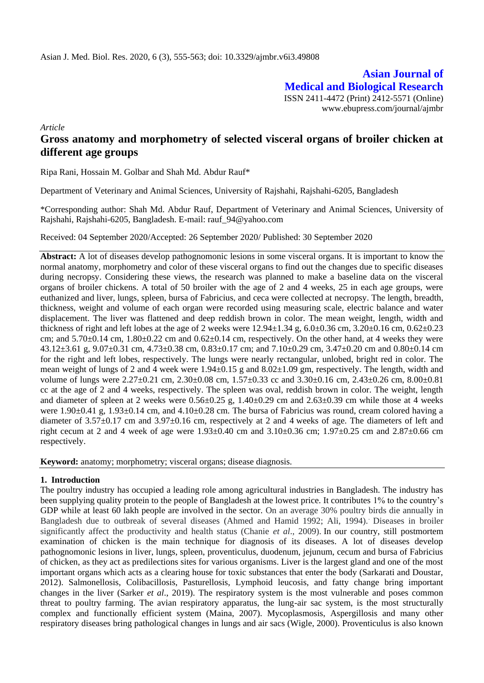**Asian Journal of Medical and Biological Research** ISSN 2411-4472 (Print) 2412-5571 (Online) www.ebupress.com/journal/ajmbr

*Article*

# **Gross anatomy and morphometry of selected visceral organs of broiler chicken at different age groups**

Ripa Rani, Hossain M. Golbar and Shah Md. Abdur Rauf\*

Department of Veterinary and Animal Sciences, University of Rajshahi, Rajshahi-6205, Bangladesh

\*Corresponding author: Shah Md. Abdur Rauf, Department of Veterinary and Animal Sciences, University of Rajshahi, Rajshahi-6205, Bangladesh. E-mail: rauf\_94@yahoo.com

Received: 04 September 2020/Accepted: 26 September 2020/ Published: 30 September 2020

**Abstract:** A lot of diseases develop pathognomonic lesions in some visceral organs. It is important to know the normal anatomy, morphometry and color of these visceral organs to find out the changes due to specific diseases during necropsy. Considering these views, the research was planned to make a baseline data on the visceral organs of broiler chickens. A total of 50 broiler with the age of 2 and 4 weeks, 25 in each age groups, were euthanized and liver, lungs, spleen, bursa of Fabricius, and ceca were collected at necropsy. The length, breadth, thickness, weight and volume of each organ were recorded using measuring scale, electric balance and water displacement. The liver was flattened and deep reddish brown in color. The mean weight, length, width and thickness of right and left lobes at the age of 2 weeks were  $12.94\pm1.34$  g,  $6.0\pm0.36$  cm,  $3.20\pm0.16$  cm,  $0.62\pm0.23$ cm; and  $5.70\pm0.14$  cm,  $1.80\pm0.22$  cm and  $0.62\pm0.14$  cm, respectively. On the other hand, at 4 weeks they were 43.12±3.61 g, 9.07±0.31 cm, 4.73±0.38 cm, 0.83±0.17 cm; and 7.10±0.29 cm, 3.47±0.20 cm and 0.80±0.14 cm for the right and left lobes, respectively. The lungs were nearly rectangular, unlobed, bright red in color. The mean weight of lungs of 2 and 4 week were 1.94±0.15 g and 8.02±1.09 gm, respectively. The length, width and volume of lungs were 2.27±0.21 cm, 2.30±0.08 cm, 1.57±0.33 cc and 3.30±0.16 cm, 2.43±0.26 cm, 8.00±0.81 cc at the age of 2 and 4 weeks, respectively. The spleen was oval, reddish brown in color. The weight, length and diameter of spleen at 2 weeks were  $0.56\pm0.25$  g,  $1.40\pm0.29$  cm and  $2.63\pm0.39$  cm while those at 4 weeks were 1.90 $\pm$ 0.41 g, 1.93 $\pm$ 0.14 cm, and 4.10 $\pm$ 0.28 cm. The bursa of Fabricius was round, cream colored having a diameter of 3.57±0.17 cm and 3.97±0.16 cm, respectively at 2 and 4 weeks of age. The diameters of left and right cecum at 2 and 4 week of age were 1.93±0.40 cm and 3.10±0.36 cm; 1.97±0.25 cm and 2.87±0.66 cm respectively.

**Keyword:** anatomy; morphometry; visceral organs; disease diagnosis.

### **1. Introduction**

The poultry industry has occupied a leading role among agricultural industries in Bangladesh. The industry has been supplying quality protein to the people of Bangladesh at the lowest price. It contributes 1% to the country's GDP while at least 60 lakh people are involved in the sector. On an average 30% poultry birds die annually in Bangladesh due to outbreak of several diseases (Ahmed and Hamid 1992; Ali, 1994).. Diseases in broiler significantly affect the productivity and health status (Chanie *et al*., 2009). In our country, still postmortem examination of chicken is the main technique for diagnosis of its diseases. A lot of diseases develop pathognomonic lesions in liver, lungs, spleen, proventiculus, duodenum, jejunum, cecum and bursa of Fabricius of chicken, as they act as predilections sites for various organisms. Liver is the largest gland and one of the most important organs which acts as a clearing house for toxic substances that enter the body (Sarkarati and Doustar, 2012). Salmonellosis, Colibacillosis, Pasturellosis, Lymphoid leucosis, and fatty change bring important changes in the liver (Sarker *et al*., 2019). The respiratory system is the most vulnerable and poses common threat to poultry farming. The avian respiratory apparatus, the lung-air sac system, is the most structurally complex and functionally efficient system (Maina, 2007). Mycoplasmosis, Aspergillosis and many other respiratory diseases bring pathological changes in lungs and air sacs (Wigle, 2000). Proventiculus is also known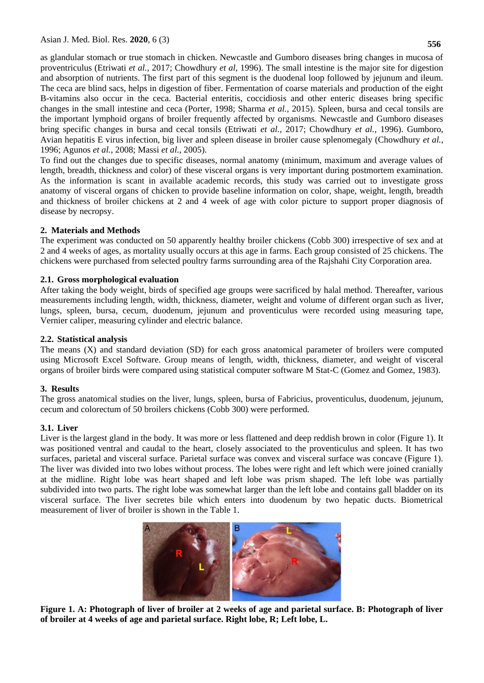as glandular stomach or true stomach in chicken. Newcastle and Gumboro diseases bring changes in mucosa of proventriculus (Etriwati *et al.*, 2017; Chowdhury *et al*, 1996). The small intestine is the major site for digestion and absorption of nutrients. The first part of this segment is the duodenal loop followed by jejunum and ileum. The ceca are blind sacs, helps in digestion of fiber. Fermentation of coarse materials and production of the eight B-vitamins also occur in the ceca. Bacterial enteritis, coccidiosis and other enteric diseases bring specific changes in the small intestine and ceca (Porter, 1998; Sharma *et al.,* 2015). Spleen, bursa and cecal tonsils are the important lymphoid organs of broiler frequently affected by organisms. Newcastle and Gumboro diseases

bring specific changes in bursa and cecal tonsils (Etriwati *et al.*, 2017; Chowdhury *et al.*, 1996). Gumboro, Avian hepatitis E virus infection, big liver and spleen disease in broiler cause splenomegaly (Chowdhury *et al.*, 1996; Agunos *et al.*, 2008; Massi *et al.*, 2005). To find out the changes due to specific diseases, normal anatomy (minimum, maximum and average values of

length, breadth, thickness and color) of these visceral organs is very important during postmortem examination. As the information is scant in available academic records, this study was carried out to investigate gross anatomy of visceral organs of chicken to provide baseline information on color, shape, weight, length, breadth and thickness of broiler chickens at 2 and 4 week of age with color picture to support proper diagnosis of disease by necropsy.

# **2. Materials and Methods**

The experiment was conducted on 50 apparently healthy broiler chickens (Cobb 300) irrespective of sex and at 2 and 4 weeks of ages, as mortality usually occurs at this age in farms. Each group consisted of 25 chickens. The chickens were purchased from selected poultry farms surrounding area of the Rajshahi City Corporation area.

### **2.1. Gross morphological evaluation**

After taking the body weight, birds of specified age groups were sacrificed by halal method. Thereafter, various measurements including length, width, thickness, diameter, weight and volume of different organ such as liver, lungs, spleen, bursa, cecum, duodenum, jejunum and proventiculus were recorded using measuring tape, Vernier caliper, measuring cylinder and electric balance.

### **2.2. Statistical analysis**

The means (X) and standard deviation (SD) for each gross anatomical parameter of broilers were computed using Microsoft Excel Software. Group means of length, width, thickness, diameter, and weight of visceral organs of broiler birds were compared using statistical computer software M Stat-C (Gomez and Gomez, 1983).

### **3. Results**

The gross anatomical studies on the liver, lungs, spleen, bursa of Fabricius, proventiculus, duodenum, jejunum, cecum and colorectum of 50 broilers chickens (Cobb 300) were performed.

### **3.1. Liver**

Liver is the largest gland in the body. It was more or less flattened and deep reddish brown in color (Figure 1). It was positioned ventral and caudal to the heart, closely associated to the proventiculus and spleen. It has two surfaces, parietal and visceral surface. Parietal surface was convex and visceral surface was concave (Figure 1). The liver was divided into two lobes without process. The lobes were right and left which were joined cranially at the midline. Right lobe was heart shaped and left lobe was prism shaped. The left lobe was partially subdivided into two parts. The right lobe was somewhat larger than the left lobe and contains gall bladder on its visceral surface. The liver secretes bile which enters into duodenum by two hepatic ducts. Biometrical measurement of liver of broiler is shown in the Table 1.



**Figure 1. A: Photograph of liver of broiler at 2 weeks of age and parietal surface. B: Photograph of liver of broiler at 4 weeks of age and parietal surface. Right lobe, R; Left lobe, L.**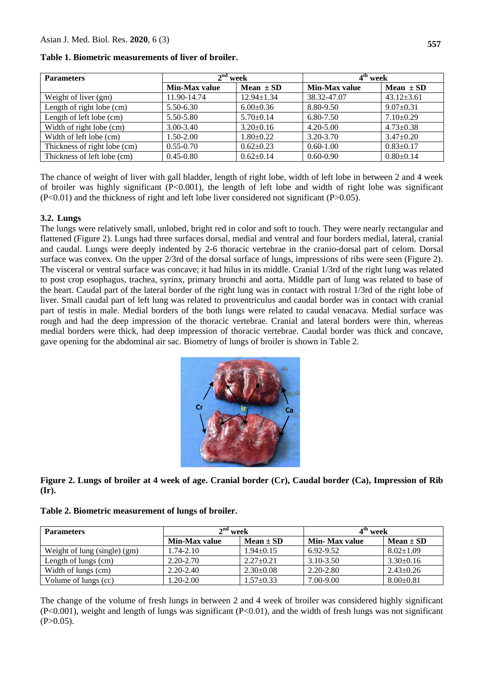| <b>Parameters</b>            | $2nd$ week    |                  | 4 <sup>th</sup> week |                  |
|------------------------------|---------------|------------------|----------------------|------------------|
|                              | Min-Max value | Mean $\pm$ SD    | Min-Max value        | Mean $\pm$ SD    |
| Weight of liver (gm)         | 11.90-14.74   | $12.94 \pm 1.34$ | 38.32-47.07          | $43.12 \pm 3.61$ |
| Length of right lobe (cm)    | 5.50-6.30     | $6.00 \pm 0.36$  | 8.80-9.50            | $9.07 \pm 0.31$  |
| Length of left lobe (cm)     | 5.50-5.80     | $5.70 \pm 0.14$  | 6.80-7.50            | $7.10\pm0.29$    |
| Width of right lobe (cm)     | 3.00-3.40     | $3.20 \pm 0.16$  | $4.20 - 5.00$        | $4.73 \pm 0.38$  |
| Width of left lobe (cm)      | $1.50 - 2.00$ | $1.80+0.22$      | 3.20-3.70            | $3.47 \pm 0.20$  |
| Thickness of right lobe (cm) | $0.55 - 0.70$ | $0.62+0.23$      | $0.60 - 1.00$        | $0.83 \pm 0.17$  |
| Thickness of left lobe (cm)  | $0.45 - 0.80$ | $0.62+0.14$      | $0.60 - 0.90$        | $0.80 \pm 0.14$  |

#### **Table 1. Biometric measurements of liver of broiler.**

The chance of weight of liver with gall bladder, length of right lobe, width of left lobe in between 2 and 4 week of broiler was highly significant (P<0.001), the length of left lobe and width of right lobe was significant  $(P<0.01)$  and the thickness of right and left lobe liver considered not significant  $(P>0.05)$ .

### **3.2. Lungs**

The lungs were relatively small, unlobed, bright red in color and soft to touch. They were nearly rectangular and flattened (Figure 2). Lungs had three surfaces dorsal, medial and ventral and four borders medial, lateral, cranial and caudal. Lungs were deeply indented by 2-6 thoracic vertebrae in the cranio-dorsal part of celom. Dorsal surface was convex. On the upper 2/3rd of the dorsal surface of lungs, impressions of ribs were seen (Figure 2). The visceral or ventral surface was concave; it had hilus in its middle. Cranial 1/3rd of the right lung was related to post crop esophagus, trachea, syrinx, primary bronchi and aorta. Middle part of lung was related to base of the heart. Caudal part of the lateral border of the right lung was in contact with rostral 1/3rd of the right lobe of liver. Small caudal part of left lung was related to proventriculus and caudal border was in contact with cranial part of testis in male. Medial borders of the both lungs were related to caudal venacava. Medial surface was rough and had the deep impression of the thoracic vertebrae. Cranial and lateral borders were thin, whereas medial borders were thick, had deep impression of thoracic vertebrae. Caudal border was thick and concave, gave opening for the abdominal air sac. Biometry of lungs of broiler is shown in Table 2.



**Figure 2. Lungs of broiler at 4 week of age. Cranial border (Cr), Caudal border (Ca), Impression of Rib (Ir).** 

|  |  | Table 2. Biometric measurement of lungs of broiler. |  |  |
|--|--|-----------------------------------------------------|--|--|
|--|--|-----------------------------------------------------|--|--|

| <b>Parameters</b>            | $2nd$ week    |                 | 4 <sup>th</sup> week |                 |
|------------------------------|---------------|-----------------|----------------------|-----------------|
|                              | Min-Max value | $Mean \pm SD$   | Min- Max value       | $Mean \pm SD$   |
| Weight of lung (single) (gm) | $1.74 - 2.10$ | $1.94 \pm 0.15$ | 6.92-9.52            | $8.02 \pm 1.09$ |
| Length of lungs (cm)         | $2.20 - 2.70$ | $2.27 \pm 0.21$ | $3.10 - 3.50$        | $3.30\pm0.16$   |
| Width of lungs (cm)          | $2.20 - 2.40$ | $2.30 \pm 0.08$ | 2.20-2.80            | $2.43 \pm 0.26$ |
| Volume of lungs (cc)         | $.20 - 2.00$  | $1.57 \pm 0.33$ | 7.00-9.00            | $8.00 \pm 0.81$ |

The change of the volume of fresh lungs in between 2 and 4 week of broiler was considered highly significant (P<0.001), weight and length of lungs was significant (P<0.01), and the width of fresh lungs was not significant  $(P>0.05)$ .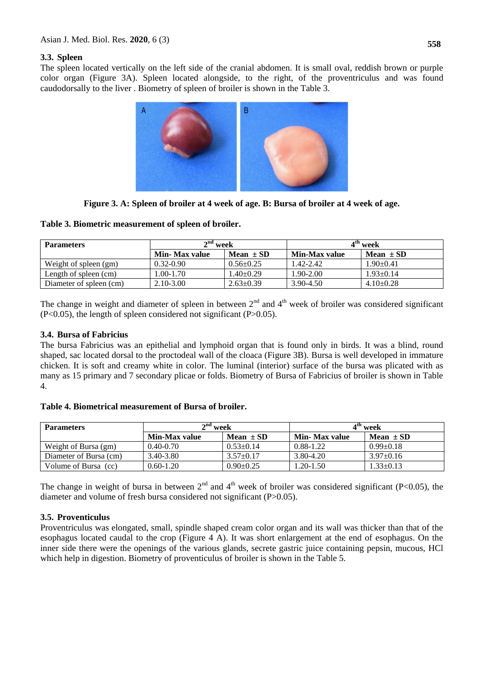### **3.3. Spleen**

The spleen located vertically on the left side of the cranial abdomen. It is small oval, reddish brown or purple color organ (Figure 3A). Spleen located alongside, to the right, of the [proventriculus](about:blank) and was found caudodorsally to the [liver](about:blank) . Biometry of spleen of broiler is shown in the Table 3.



**Figure 3. A: Spleen of broiler at 4 week of age. B: Bursa of broiler at 4 week of age.**

### **Table 3. Biometric measurement of spleen of broiler.**

| <b>Parameters</b>       | $2nd$ week            |                 |               | $4^{\text{m}}$ week |
|-------------------------|-----------------------|-----------------|---------------|---------------------|
|                         | <b>Min- Max value</b> | Mean $\pm$ SD   | Min-Max value | Mean $\pm$ SD       |
| Weight of spleen (gm)   | $0.32 - 0.90$         | $0.56 \pm 0.25$ | 1.42-2.42     | $1.90 \pm 0.41$     |
| Length of spleen (cm)   | $1.00 - 1.70$         | 1.40±0.29       | $1.90 - 2.00$ | $1.93 \pm 0.14$     |
| Diameter of spleen (cm) | $2.10 - 3.00$         | $2.63 \pm 0.39$ | 3.90-4.50     | $4.10\pm0.28$       |

The change in weight and diameter of spleen in between  $2<sup>nd</sup>$  and  $4<sup>th</sup>$  week of broiler was considered significant  $(P<0.05)$ , the length of spleen considered not significant  $(P>0.05)$ .

### **3.4. Bursa of Fabricius**

The bursa Fabricius was an [epithelial](about:blank) and [lymphoid](about:blank#Lymphoid_tissue) organ that is found only in birds. It was a blind, round shaped, sac located dorsal to the proctodeal wall of the cloaca (Figure 3B). Bursa is well developed in immature chicken. It is soft and creamy white in color. The [luminal](about:blank) (interior) surface of the bursa was plicated with as many as 15 primary and 7 secondary plicae or folds. Biometry of Bursa of Fabricius of broiler is shown in Table 4.

| <b>Parameters</b>      | $2nd$ week    |                 |                       | $4th$ week      |
|------------------------|---------------|-----------------|-----------------------|-----------------|
|                        | Min-Max value | Mean $\pm$ SD   | <b>Min- Max value</b> | Mean $\pm$ SD   |
| Weight of Bursa (gm)   | $0.40 - 0.70$ | $0.53 \pm 0.14$ | 0.88-1.22             | $0.99 \pm 0.18$ |
| Diameter of Bursa (cm) | 3.40-3.80     | $3.57 \pm 0.17$ | 3.80-4.20             | $3.97 \pm 0.16$ |
| Volume of Bursa (cc)   | $0.60 - 1.20$ | $0.90 \pm 0.25$ | $1.20 - 1.50$         | $1.33 \pm 0.13$ |

### **Table 4. Biometrical measurement of Bursa of broiler.**

The change in weight of bursa in between  $2<sup>nd</sup>$  and  $4<sup>th</sup>$  week of broiler was considered significant (P<0.05), the diameter and volume of fresh bursa considered not significant (P>0.05).

# **3.5. Proventiculus**

Proventriculus was elongated, small, spindle shaped cream color organ and its wall was thicker than that of the esophagus located caudal to the crop (Figure 4 A). It was short enlargement at the end of esophagus. On the inner side there were the openings of the various glands, secrete gastric juice containing pepsin, mucous, HCl which help in digestion. Biometry of proventiculus of broiler is shown in the Table 5.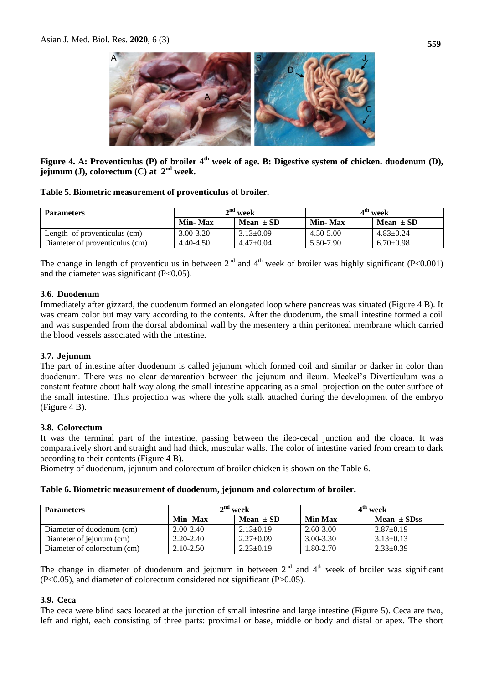

**Figure 4. A: Proventiculus (P) of broiler 4th week of age. B: Digestive system of chicken. duodenum (D), jejunum (J), colorectum (C) at 2nd week.**

### **Table 5. Biometric measurement of proventiculus of broiler.**

| <b>Parameters</b>              | $2nd$ week     |                 | $4th$ week     |                 |
|--------------------------------|----------------|-----------------|----------------|-----------------|
|                                | <b>Min-Max</b> | Mean $\pm$ SD   | <b>Min-Max</b> | Mean $\pm$ SD   |
| Length of proventiculus (cm)   | 3.00-3.20      | $3.13 \pm 0.09$ | 4.50-5.00      | $4.83 \pm 0.24$ |
| Diameter of proventiculus (cm) | 4.40-4.50      | $4.47+0.04$     | 5.50-7.90      | $6.70 \pm 0.98$ |

The change in length of proventiculus in between  $2<sup>nd</sup>$  and  $4<sup>th</sup>$  week of broiler was highly significant (P<0.001) and the diameter was significant  $(P<0.05)$ .

### **3.6. Duodenum**

Immediately after gizzard, the duodenum formed an elongated loop where pancreas was situated (Figure 4 B). It was cream color but may vary according to the contents. After the duodenum, the small intestine formed a coil and was suspended from the dorsal abdominal wall by the mesentery a thin peritoneal membrane which carried the blood vessels associated with the intestine.

### **3.7. Jejunum**

The part of intestine after duodenum is called jejunum which formed coil and similar or darker in color than duodenum. There was no clear demarcation between the jejunum and ileum. Meckel's Diverticulum was a constant feature about half way along the small intestine appearing as a small projection on the outer surface of the small intestine. This projection was where the yolk stalk attached during the development of the embryo (Figure 4 B).

### **3.8. Colorectum**

It was the terminal part of the intestine, passing between the ileo-cecal junction and the cloaca. It was comparatively short and straight and had thick, muscular walls. The color of intestine varied from cream to dark according to their contents (Figure 4 B).

Biometry of duodenum, jejunum and colorectum of broiler chicken is shown on the Table 6.

#### **Table 6. Biometric measurement of duodenum, jejunum and colorectum of broiler.**

| <b>Parameters</b>           | $2nd$ week    |                 |                | $4th$ week      |
|-----------------------------|---------------|-----------------|----------------|-----------------|
|                             | Min-Max       | Mean $\pm$ SD   | <b>Min Max</b> | Mean $\pm$ SDss |
| Diameter of duodenum (cm)   | $2.00 - 2.40$ | $2.13 \pm 0.19$ | $2.60 - 3.00$  | $2.87 \pm 0.19$ |
| Diameter of jejunum (cm)    | $2.20 - 2.40$ | $2.27 \pm 0.09$ | 3.00-3.30      | $3.13 \pm 0.13$ |
| Diameter of colorectum (cm) | $2.10 - 2.50$ | $2.23 \pm 0.19$ | 1.80-2.70      | $2.33 \pm 0.39$ |

The change in diameter of duodenum and jejunum in between  $2<sup>nd</sup>$  and  $4<sup>th</sup>$  week of broiler was significant (P<0.05), and diameter of colorectum considered not significant (P>0.05).

#### **3.9. Ceca**

The ceca were blind sacs located at the junction of small intestine and large intestine (Figure 5). Ceca are two, left and right, each consisting of three parts: proximal or base, middle or body and distal or apex. The short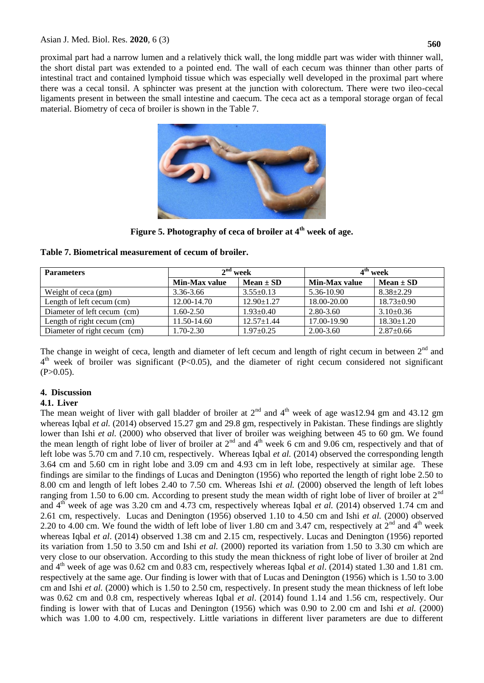proximal part had a narrow lumen and a relatively thick wall, the long middle part was wider with thinner wall, the short distal part was extended to a pointed end. The wall of each cecum was thinner than other parts of intestinal tract and contained lymphoid tissue which was especially well developed in the proximal part where there was a cecal tonsil. A sphincter was present at the junction with colorectum. There were two ileo-cecal ligaments present in between the small intestine and caecum. The ceca act as a temporal storage organ of fecal material. Biometry of ceca of broiler is shown in the Table 7.



**Figure 5. Photography of ceca of broiler at 4th week of age.**

| Table 7. Biometrical measurement of cecum of broiler. |  |  |
|-------------------------------------------------------|--|--|
|-------------------------------------------------------|--|--|

| <b>Parameters</b>            | $2nd$ week    |                  | 4 <sup>th</sup> week |                  |
|------------------------------|---------------|------------------|----------------------|------------------|
|                              | Min-Max value | $Mean \pm SD$    | Min-Max value        | $Mean \pm SD$    |
| Weight of ceca (gm)          | 3.36-3.66     | $3.55 \pm 0.13$  | 5.36-10.90           | $8.38 \pm 2.29$  |
| Length of left cecum (cm)    | 12.00-14.70   | $12.90 \pm 1.27$ | 18.00-20.00          | $18.73 \pm 0.90$ |
| Diameter of left cecum (cm)  | 1.60-2.50     | $1.93 \pm 0.40$  | 2.80-3.60            | $3.10\pm0.36$    |
| Length of right cecum (cm)   | 11.50-14.60   | $12.57 \pm 1.44$ | 17.00-19.90          | $18.30 \pm 1.20$ |
| Diameter of right cecum (cm) | 1.70-2.30     | $1.97 \pm 0.25$  | $2.00 - 3.60$        | $2.87 \pm 0.66$  |

The change in weight of ceca, length and diameter of left cecum and length of right cecum in between  $2<sup>nd</sup>$  and 4<sup>th</sup> week of broiler was significant (P<0.05), and the diameter of right cecum considered not significant  $(P>0.05)$ .

# **4. Discussion**

# **4.1. Liver**

The mean weight of liver with gall bladder of broiler at  $2<sup>nd</sup>$  and  $4<sup>th</sup>$  week of age was12.94 gm and 43.12 gm whereas Iqbal *et al.* (2014) observed 15.27 gm and 29.8 gm, respectively in Pakistan. These findings are slightly lower than Ishi *et al.* (2000) who observed that liver of broiler was weighing between 45 to 60 gm. We found the mean length of right lobe of liver of broiler at  $2<sup>nd</sup>$  and  $4<sup>th</sup>$  week 6 cm and 9.06 cm, respectively and that of left lobe was 5.70 cm and 7.10 cm, respectively. Whereas Iqbal *et al.* (2014) observed the corresponding length 3.64 cm and 5.60 cm in right lobe and 3.09 cm and 4.93 cm in left lobe, respectively at similar age. These findings are similar to the findings of Lucas and Denington (1956) who reported the length of right lobe 2.50 to 8.00 cm and length of left lobes 2.40 to 7.50 cm. Whereas Ishi *et al.* (2000) observed the length of left lobes ranging from 1.50 to 6.00 cm. According to present study the mean width of right lobe of liver of broiler at  $2<sup>nd</sup>$ and 4th week of age was 3.20 cm and 4.73 cm, respectively whereas Iqbal *et al.* (2014) observed 1.74 cm and 2.61 cm, respectively. Lucas and Denington (1956) observed 1.10 to 4.50 cm and Ishi *et al.* (2000) observed 2.20 to 4.00 cm. We found the width of left lobe of liver 1.80 cm and 3.47 cm, respectively at  $2^{nd}$  and  $4^{th}$  week whereas Iqbal *et al*. (2014) observed 1.38 cm and 2.15 cm, respectively. Lucas and Denington (1956) reported its variation from 1.50 to 3.50 cm and Ishi *et al.* (2000) reported its variation from 1.50 to 3.30 cm which are very close to our observation. According to this study the mean thickness of right lobe of liver of broiler at 2nd and  $4<sup>th</sup>$  week of age was 0.62 cm and 0.83 cm, respectively whereas Iqbal *et al.* (2014) stated 1.30 and 1.81 cm. respectively at the same age. Our finding is lower with that of Lucas and Denington (1956) which is 1.50 to 3.00 cm and Ishi *et al.* (2000) which is 1.50 to 2.50 cm, respectively. In present study the mean thickness of left lobe was 0.62 cm and 0.8 cm, respectively whereas Iqbal *et al*. (2014) found 1.14 and 1.56 cm, respectively. Our finding is lower with that of Lucas and Denington (1956) which was 0.90 to 2.00 cm and Ishi *et al.* (2000) which was 1.00 to 4.00 cm, respectively. Little variations in different liver parameters are due to different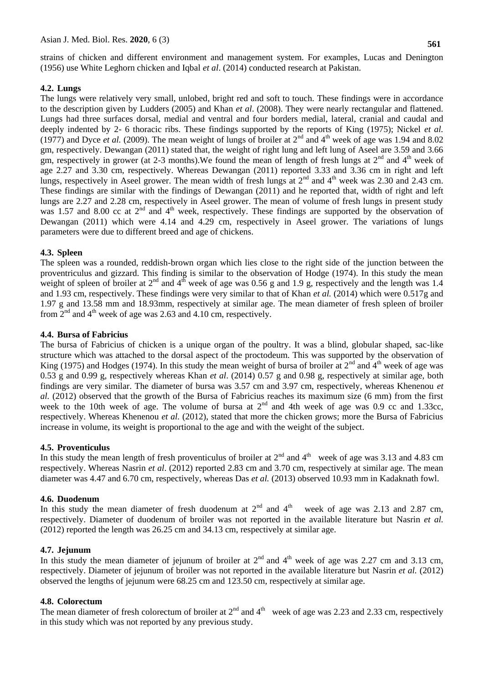strains of chicken and different environment and management system. For examples, Lucas and Denington (1956) use White Leghorn chicken and Iqbal *et al*. (2014) conducted research at Pakistan.

### **4.2. Lungs**

The lungs were relatively very small, unlobed, bright red and soft to touch. These findings were in accordance to the description given by Ludders (2005) and Khan *et al*. (2008). They were nearly rectangular and flattened. Lungs had three surfaces dorsal, medial and ventral and four borders medial, lateral, cranial and caudal and deeply indented by 2- 6 thoracic ribs. These findings supported by the reports of King (1975); Nickel *et al.*  (1977) and Dyce *et al.* (2009). The mean weight of lungs of broiler at  $2<sup>nd</sup>$  and  $4<sup>th</sup>$  week of age was 1.94 and 8.02 gm, respectively. Dewangan (2011) stated that, the weight of right lung and left lung of Aseel are 3.59 and 3.66 gm, respectively in grower (at 2-3 months). We found the mean of length of fresh lungs at  $2<sup>nd</sup>$  and  $4<sup>th</sup>$  week of age 2.27 and 3.30 cm, respectively. Whereas Dewangan (2011) reported 3.33 and 3.36 cm in right and left lungs, respectively in Aseel grower. The mean width of fresh lungs at  $2^{nd}$  and  $4^{th}$  week was 2.30 and 2.43 cm. These findings are similar with the findings of Dewangan (2011) and he reported that, width of right and left lungs are 2.27 and 2.28 cm, respectively in Aseel grower. The mean of volume of fresh lungs in present study was 1.57 and 8.00 cc at  $2<sup>nd</sup>$  and  $4<sup>th</sup>$  week, respectively. These findings are supported by the observation of Dewangan (2011) which were 4.14 and 4.29 cm, respectively in Aseel grower. The variations of lungs parameters were due to different breed and age of chickens.

### **4.3. Spleen**

The spleen was a rounded, reddish-brown organ which lies close to the right side of the junction between the proventriculus and gizzard. This finding is similar to the observation of Hodge (1974). In this study the mean weight of spleen of broiler at  $2<sup>nd</sup>$  and  $4<sup>th</sup>$  week of age was 0.56 g and 1.9 g, respectively and the length was 1.4 and 1.93 cm, respectively. These findings were very similar to that of Khan *et al.* (2014) which were 0.517g and 1.97 g and 13.58 mm and 18.93mm, respectively at similar age. The mean diameter of fresh spleen of broiler from  $2<sup>nd</sup>$  and  $4<sup>th</sup>$  week of age was 2.63 and 4.10 cm, respectively.

### **4.4. Bursa of Fabricius**

The bursa of Fabricius of chicken is a unique organ of the poultry. It was a blind, globular shaped, sac-like structure which was attached to the dorsal aspect of the proctodeum. This was supported by the observation of King (1975) and Hodges (1974). In this study the mean weight of bursa of broiler at  $2<sup>nd</sup>$  and  $4<sup>th</sup>$  week of age was 0.53 g and 0.99 g, respectively whereas Khan *et al*. (2014) 0.57 g and 0.98 g, respectively at similar age, both findings are very similar. The diameter of bursa was 3.57 cm and 3.97 cm, respectively, whereas Khenenou *et al.* (2012) observed that the growth of the Bursa of Fabricius reaches its maximum size (6 mm) from the first week to the 10th week of age. The volume of bursa at  $2<sup>nd</sup>$  and 4th week of age was 0.9 cc and 1.33cc, respectively. Whereas Khenenou *et al.* (2012), stated that more the chicken grows; more the Bursa of Fabricius increase in volume, its weight is proportional to the age and with the weight of the subject.

### **4.5. Proventiculus**

In this study the mean length of fresh proventiculus of broiler at  $2<sup>nd</sup>$  and  $4<sup>th</sup>$  week of age was 3.13 and 4.83 cm respectively. Whereas Nasrin *et al*. (2012) reported 2.83 cm and 3.70 cm, respectively at similar age. The mean diameter was 4.47 and 6.70 cm, respectively, whereas Das *et al.* (2013) observed 10.93 mm in Kadaknath fowl.

### **4.6. Duodenum**

In this study the mean diameter of fresh duodenum at  $2<sup>nd</sup>$  and  $4<sup>th</sup>$  week of age was 2.13 and 2.87 cm, respectively. Diameter of duodenum of broiler was not reported in the available literature but Nasrin *et al.* (2012) reported the length was 26.25 cm and 34.13 cm, respectively at similar age.

### **4.7. Jejunum**

In this study the mean diameter of jejunum of broiler at  $2^{nd}$  and  $4^{th}$  week of age was 2.27 cm and 3.13 cm, respectively. Diameter of jejunum of broiler was not reported in the available literature but Nasrin *et al.* (2012) observed the lengths of jejunum were 68.25 cm and 123.50 cm, respectively at similar age.

### **4.8. Colorectum**

The mean diameter of fresh colorectum of broiler at  $2^{nd}$  and  $4^{th}$  week of age was 2.23 and 2.33 cm, respectively in this study which was not reported by any previous study.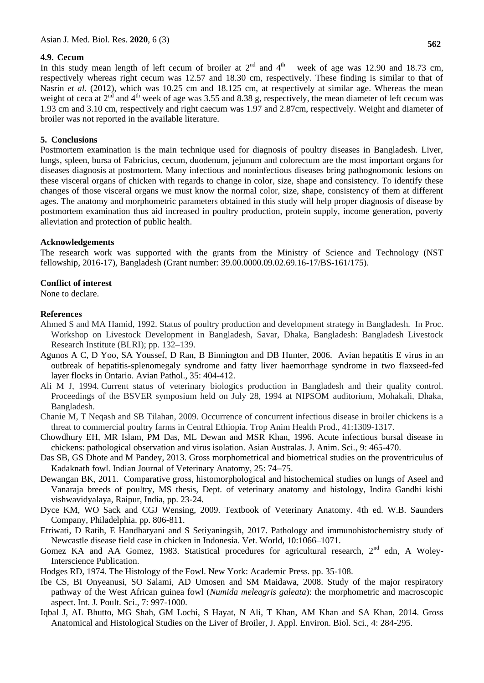#### **4.9. Cecum**

In this study mean length of left cecum of broiler at  $2<sup>nd</sup>$  and  $4<sup>th</sup>$  week of age was 12.90 and 18.73 cm, respectively whereas right cecum was 12.57 and 18.30 cm, respectively. These finding is similar to that of Nasrin *et al.* (2012), which was 10.25 cm and 18.125 cm, at respectively at similar age. Whereas the mean weight of ceca at  $2<sup>nd</sup>$  and  $4<sup>th</sup>$  week of age was 3.55 and 8.38 g, respectively, the mean diameter of left cecum was 1.93 cm and 3.10 cm, respectively and right caecum was 1.97 and 2.87cm, respectively. Weight and diameter of broiler was not reported in the available literature.

#### **5. Conclusions**

Postmortem examination is the main technique used for diagnosis of poultry diseases in Bangladesh. Liver, lungs, spleen, bursa of Fabricius, cecum, duodenum, jejunum and colorectum are the most important organs for diseases diagnosis at postmortem. Many infectious and noninfectious diseases bring pathognomonic lesions on these visceral organs of chicken with regards to change in color, size, shape and consistency. To identify these changes of those visceral organs we must know the normal color, size, shape, consistency of them at different ages. The anatomy and morphometric parameters obtained in this study will help proper diagnosis of disease by postmortem examination thus aid increased in poultry production, protein supply, income generation, poverty alleviation and protection of public health.

#### **Acknowledgements**

The research work was supported with the grants from the Ministry of Science and Technology (NST fellowship, 2016-17), Bangladesh (Grant number: 39.00.0000.09.02.69.16-17/BS-161/175).

#### **Conflict of interest**

None to declare.

#### **References**

- Ahmed S and MA Hamid, 1992. Status of poultry production and development strategy in Bangladesh*.* In Proc. Workshop on Livestock Development in Bangladesh, Savar, Dhaka, Bangladesh: Bangladesh Livestock Research Institute (BLRI); pp. 132–139.
- Agunos A C, D Yoo, SA Youssef, D Ran, B Binnington and DB Hunter, 2006. Avian hepatitis E virus in an outbreak of hepatitis-splenomegaly syndrome and fatty liver haemorrhage syndrome in two flaxseed-fed layer flocks in Ontario. Avian Pathol., 35: 404-412.
- Ali M J, 1994. Current status of veterinary biologics production in Bangladesh and their quality control*.* Proceedings of the BSVER symposium held on July 28, 1994 at NIPSOM auditorium, Mohakali, Dhaka, Bangladesh.
- Chanie M, T Neqash and SB Tilahan, 2009. Occurrence of concurrent infectious disease in broiler chickens is a threat to commercial poultry farms in Central Ethiopia. Trop Anim Health Prod., 41:1309-1317.
- Chowdhury EH, MR Islam, PM Das, ML Dewan and MSR Khan, 1996. Acute infectious bursal disease in chickens: pathological observation and virus isolation. Asian Australas. J. Anim. Sci., 9: 465-470.
- Das SB, GS Dhote and M Pandey, 2013. Gross morphometrical and biometrical studies on the proventriculus of Kadaknath fowl. Indian Journal of Veterinary Anatomy, 25: 74–75.
- Dewangan BK, 2011. Comparative gross, histomorphological and histochemical studies on lungs of Aseel and Vanaraja breeds of poultry, MS thesis, Dept. of veterinary anatomy and histology, Indira Gandhi kishi vishwavidyalaya, Raipur, India, pp. 23-24.
- Dyce KM, WO Sack and CGJ Wensing, 2009. Textbook of Veterinary Anatomy. 4th ed. W.B. Saunders Company, Philadelphia. pp. 806-811.
- Etriwati, D Ratih, E Handharyani and S Setiyaningsih, 2017. Pathology and immunohistochemistry study of Newcastle disease field case in chicken in Indonesia. Vet. World, 10:1066–1071.
- Gomez KA and AA Gomez, 1983. Statistical procedures for agricultural research, 2<sup>nd</sup> edn, A Woley-Interscience Publication.
- Hodges RD, 1974. The Histology of the Fowl. New York: Academic Press. pp. 35-108.
- Ibe CS, BI Onyeanusi, SO Salami, AD Umosen and SM Maidawa, 2008. Study of the major respiratory pathway of the West African guinea fowl (*Numida meleagris galeata*): the morphometric and macroscopic aspect. Int. J. Poult. Sci., 7: 997-1000.
- Iqbal J, AL Bhutto, MG Shah, GM Lochi, S Hayat, N Ali, T Khan, AM Khan and SA Khan, 2014. Gross Anatomical and Histological Studies on the Liver of Broiler, J. Appl. Environ. Biol. Sci., 4: 284-295.